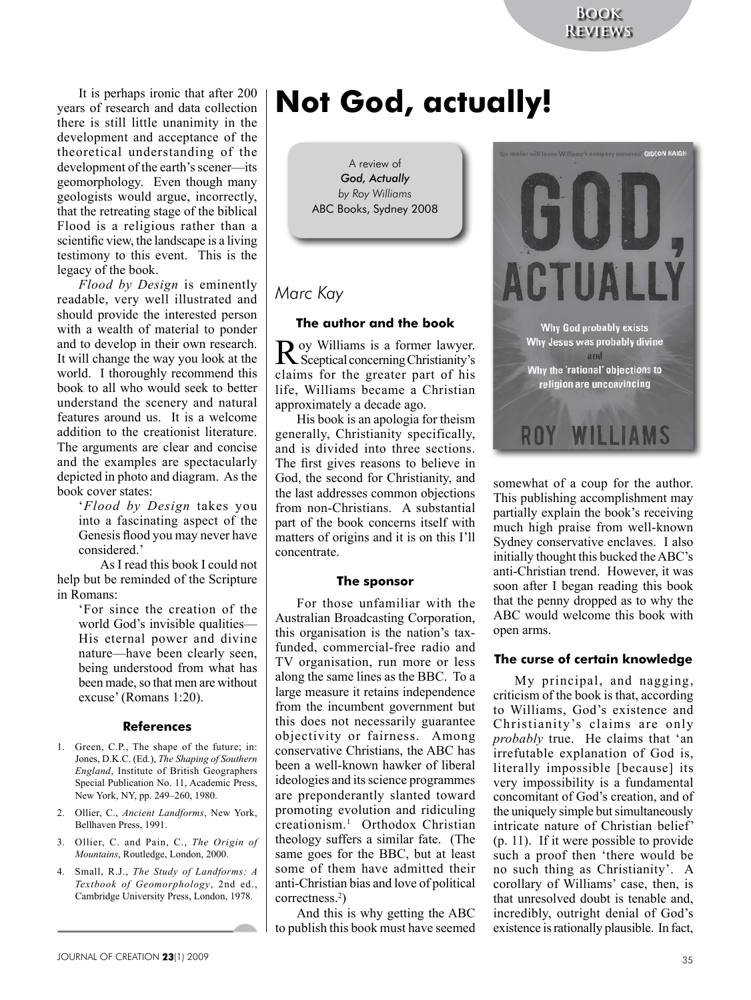It is perhaps ironic that after 200 years of research and data collection there is still little unanimity in the development and acceptance of the theoretical understanding of the development of the earth's scener—its geomorphology. Even though many geologists would argue, incorrectly, that the retreating stage of the biblical Flood is a religious rather than a scientific view, the landscape is a living testimony to this event. This is the legacy of the book.

*Flood by Design* is eminently readable, very well illustrated and should provide the interested person with a wealth of material to ponder and to develop in their own research. It will change the way you look at the world. I thoroughly recommend this book to all who would seek to better understand the scenery and natural features around us. It is a welcome addition to the creationist literature. The arguments are clear and concise and the examples are spectacularly depicted in photo and diagram. As the book cover states:

'*Flood by Design* takes you into a fascinating aspect of the Genesis flood you may never have considered.'

As I read this book I could not help but be reminded of the Scripture in Romans:

> 'For since the creation of the world God's invisible qualities— His eternal power and divine nature—have been clearly seen, being understood from what has been made, so that men are without excuse' (Romans 1:20).

# **References**

- 1. Green, C.P., The shape of the future; in: Jones, D.K.C. (Ed.), *The Shaping of Southern England*, Institute of British Geographers Special Publication No. 11, Academic Press, New York, NY, pp. 249–260, 1980.
- 2. Ollier, C., *Ancient Landforms*, New York, Bellhaven Press, 1991.
- 3. Ollier, C. and Pain, C., *The Origin of Mountains*, Routledge, London, 2000.
- 4. Small, R.J., *The Study of Landforms: A Textbook of Geomorphology*, 2nd ed., Cambridge University Press, London, 1978.

# **Not God, actually!**

A review of *God, Actually by Roy Williams* ABC Books, Sydney 2008

# *Marc Kay*

#### **The author and the book**

Roy Williams is a former lawyer. Sceptical concerning Christianity's claims for the greater part of his life, Williams became a Christian approximately a decade ago.

His book is an apologia for theism generally, Christianity specifically, and is divided into three sections. The first gives reasons to believe in God, the second for Christianity, and the last addresses common objections from non-Christians. A substantial part of the book concerns itself with matters of origins and it is on this I'll concentrate.

#### **The sponsor**

For those unfamiliar with the Australian Broadcasting Corporation, this organisation is the nation's taxfunded, commercial-free radio and TV organisation, run more or less along the same lines as the BBC. To a large measure it retains independence from the incumbent government but this does not necessarily guarantee objectivity or fairness. Among conservative Christians, the ABC has been a well-known hawker of liberal ideologies and its science programmes are preponderantly slanted toward promoting evolution and ridiculing creationism.1 Orthodox Christian theology suffers a similar fate. (The same goes for the BBC, but at least some of them have admitted their anti-Christian bias and love of political correctness.2 )

And this is why getting the ABC to publish this book must have seemed



somewhat of a coup for the author. This publishing accomplishment may partially explain the book's receiving much high praise from well-known Sydney conservative enclaves. I also initially thought this bucked the ABC's anti-Christian trend. However, it was soon after I began reading this book that the penny dropped as to why the ABC would welcome this book with open arms.

#### **The curse of certain knowledge**

My principal, and nagging, criticism of the book is that, according to Williams, God's existence and Christianity's claims are only *probably* true. He claims that 'an irrefutable explanation of God is, literally impossible [because] its very impossibility is a fundamental concomitant of God's creation, and of the uniquely simple but simultaneously intricate nature of Christian belief' (p. 11). If it were possible to provide such a proof then 'there would be no such thing as Christianity'. A corollary of Williams' case, then, is that unresolved doubt is tenable and, incredibly, outright denial of God's existence is rationally plausible. In fact,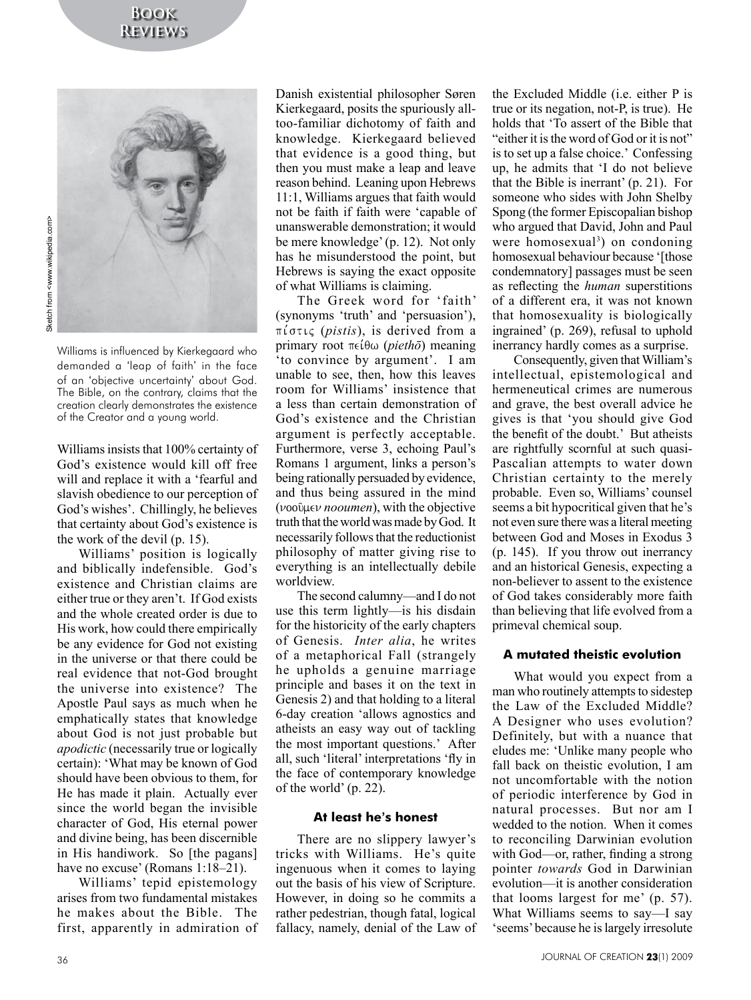

Sketch from <www.wikipedia.com> Sketch from <www.wikipedia.com>

> Williams is influenced by Kierkegaard who demanded a 'leap of faith' in the face of an 'objective uncertainty' about God. The Bible, on the contrary, claims that the creation clearly demonstrates the existence of the Creator and a young world.

> Williams insists that 100% certainty of God's existence would kill off free will and replace it with a 'fearful and slavish obedience to our perception of God's wishes'. Chillingly, he believes that certainty about God's existence is the work of the devil (p. 15).

> Williams' position is logically and biblically indefensible. God's existence and Christian claims are either true or they aren't. If God exists and the whole created order is due to His work, how could there empirically be any evidence for God not existing in the universe or that there could be real evidence that not-God brought the universe into existence? The Apostle Paul says as much when he emphatically states that knowledge about God is not just probable but *apodictic* (necessarily true or logically certain): 'What may be known of God should have been obvious to them, for He has made it plain. Actually ever since the world began the invisible character of God, His eternal power and divine being, has been discernible in His handiwork. So [the pagans] have no excuse' (Romans 1:18–21).

> Williams' tepid epistemology arises from two fundamental mistakes he makes about the Bible. The first, apparently in admiration of

Danish existential philosopher Søren Kierkegaard, posits the spuriously alltoo-familiar dichotomy of faith and knowledge. Kierkegaard believed that evidence is a good thing, but then you must make a leap and leave reason behind. Leaning upon Hebrews 11:1, Williams argues that faith would not be faith if faith were 'capable of unanswerable demonstration; it would be mere knowledge' (p. 12). Not only has he misunderstood the point, but Hebrews is saying the exact opposite of what Williams is claiming.

The Greek word for 'faith' (synonyms 'truth' and 'persuasion'), pi,stij (*pistis*), is derived from a primary root πείθω (*piethō*) meaning 'to convince by argument'. I am unable to see, then, how this leaves room for Williams' insistence that a less than certain demonstration of God's existence and the Christian argument is perfectly acceptable. Furthermore, verse 3, echoing Paul's Romans 1 argument, links a person's being rationally persuaded by evidence, and thus being assured in the mind (*ν*οοῦμεν *nooumen*), with the objective truth that the world was made by God. It necessarily follows that the reductionist philosophy of matter giving rise to everything is an intellectually debile worldview.

The second calumny—and I do not use this term lightly—is his disdain for the historicity of the early chapters of Genesis. *Inter alia*, he writes of a metaphorical Fall (strangely he upholds a genuine marriage principle and bases it on the text in Genesis 2) and that holding to a literal 6-day creation 'allows agnostics and atheists an easy way out of tackling the most important questions.' After all, such 'literal' interpretations 'fly in the face of contemporary knowledge of the world' (p. 22).

# **At least he's honest**

There are no slippery lawyer's tricks with Williams. He's quite ingenuous when it comes to laying out the basis of his view of Scripture. However, in doing so he commits a rather pedestrian, though fatal, logical fallacy, namely, denial of the Law of the Excluded Middle (i.e. either P is true or its negation, not-P, is true). He holds that 'To assert of the Bible that "either it is the word of God or it is not" is to set up a false choice.' Confessing up, he admits that 'I do not believe that the Bible is inerrant' (p. 21). For someone who sides with John Shelby Spong (the former Episcopalian bishop who argued that David, John and Paul were homosexual<sup>3</sup>) on condoning homosexual behaviour because '[those condemnatory] passages must be seen as reflecting the *human* superstitions of a different era, it was not known that homosexuality is biologically ingrained' (p. 269), refusal to uphold inerrancy hardly comes as a surprise.

Consequently, given that William's intellectual, epistemological and hermeneutical crimes are numerous and grave, the best overall advice he gives is that 'you should give God the benefit of the doubt.' But atheists are rightfully scornful at such quasi-Pascalian attempts to water down Christian certainty to the merely probable. Even so, Williams' counsel seems a bit hypocritical given that he's not even sure there was a literal meeting between God and Moses in Exodus 3 (p. 145). If you throw out inerrancy and an historical Genesis, expecting a non-believer to assent to the existence of God takes considerably more faith than believing that life evolved from a primeval chemical soup.

# **A mutated theistic evolution**

What would you expect from a man who routinely attempts to sidestep the Law of the Excluded Middle? A Designer who uses evolution? Definitely, but with a nuance that eludes me: 'Unlike many people who fall back on theistic evolution, I am not uncomfortable with the notion of periodic interference by God in natural processes. But nor am I wedded to the notion. When it comes to reconciling Darwinian evolution with God—or, rather, finding a strong pointer *towards* God in Darwinian evolution—it is another consideration that looms largest for me' (p. 57). What Williams seems to say—I say 'seems' because he is largely irresolute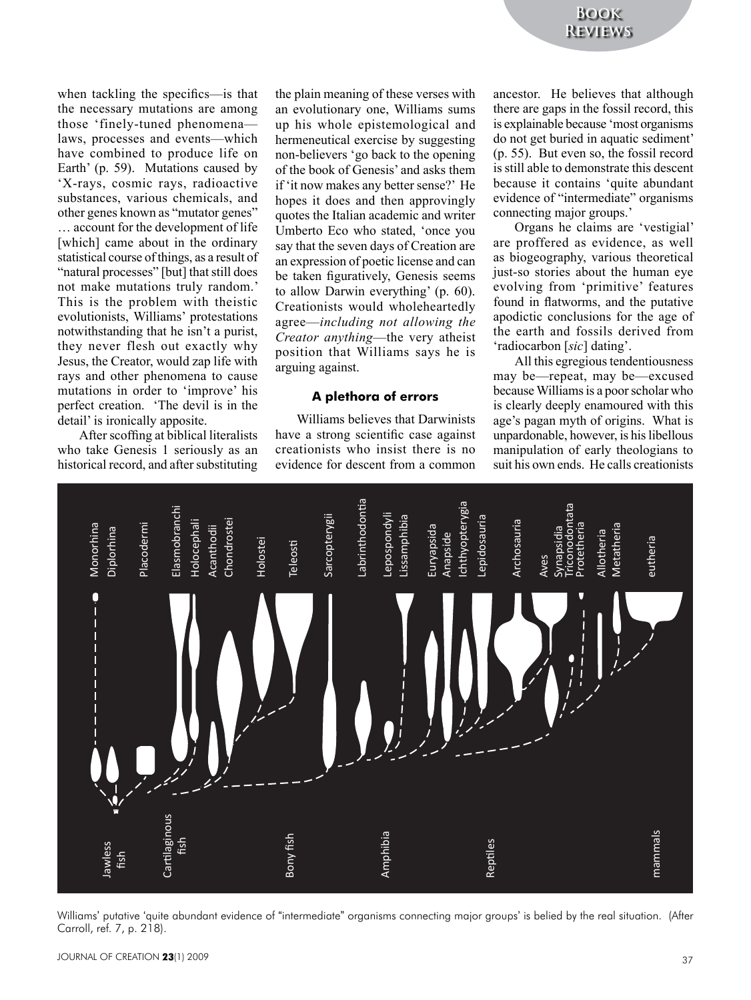when tackling the specifics—is that the necessary mutations are among those 'finely-tuned phenomena laws, processes and events—which have combined to produce life on Earth' (p. 59). Mutations caused by 'X-rays, cosmic rays, radioactive substances, various chemicals, and other genes known as "mutator genes" … account for the development of life [which] came about in the ordinary statistical course of things, as a result of "natural processes" [but] that still does not make mutations truly random.' This is the problem with theistic evolutionists, Williams' protestations notwithstanding that he isn't a purist, they never flesh out exactly why Jesus, the Creator, would zap life with rays and other phenomena to cause mutations in order to 'improve' his perfect creation. 'The devil is in the detail' is ironically apposite.

After scoffing at biblical literalists who take Genesis 1 seriously as an historical record, and after substituting the plain meaning of these verses with an evolutionary one, Williams sums up his whole epistemological and hermeneutical exercise by suggesting non-believers 'go back to the opening of the book of Genesis' and asks them if 'it now makes any better sense?' He hopes it does and then approvingly quotes the Italian academic and writer Umberto Eco who stated, 'once you say that the seven days of Creation are an expression of poetic license and can be taken figuratively, Genesis seems to allow Darwin everything' (p. 60). Creationists would wholeheartedly agree—*including not allowing the Creator anything*—the very atheist position that Williams says he is arguing against.

#### **A plethora of errors**

Williams believes that Darwinists have a strong scientific case against creationists who insist there is no evidence for descent from a common

ancestor. He believes that although there are gaps in the fossil record, this is explainable because 'most organisms do not get buried in aquatic sediment' (p. 55). But even so, the fossil record is still able to demonstrate this descent because it contains 'quite abundant evidence of "intermediate" organisms connecting major groups.'

Organs he claims are 'vestigial' are proffered as evidence, as well as biogeography, various theoretical just-so stories about the human eye evolving from 'primitive' features found in flatworms, and the putative apodictic conclusions for the age of the earth and fossils derived from 'radiocarbon [*sic*] dating'.

All this egregious tendentiousness may be—repeat, may be—excused because Williams is a poor scholar who is clearly deeply enamoured with this age's pagan myth of origins. What is unpardonable, however, is his libellous manipulation of early theologians to suit his own ends. He calls creationists



Williams' putative 'quite abundant evidence of "intermediate" organisms connecting major groups' is belied by the real situation. (After<br>Carroll, ref. 7, p. 218).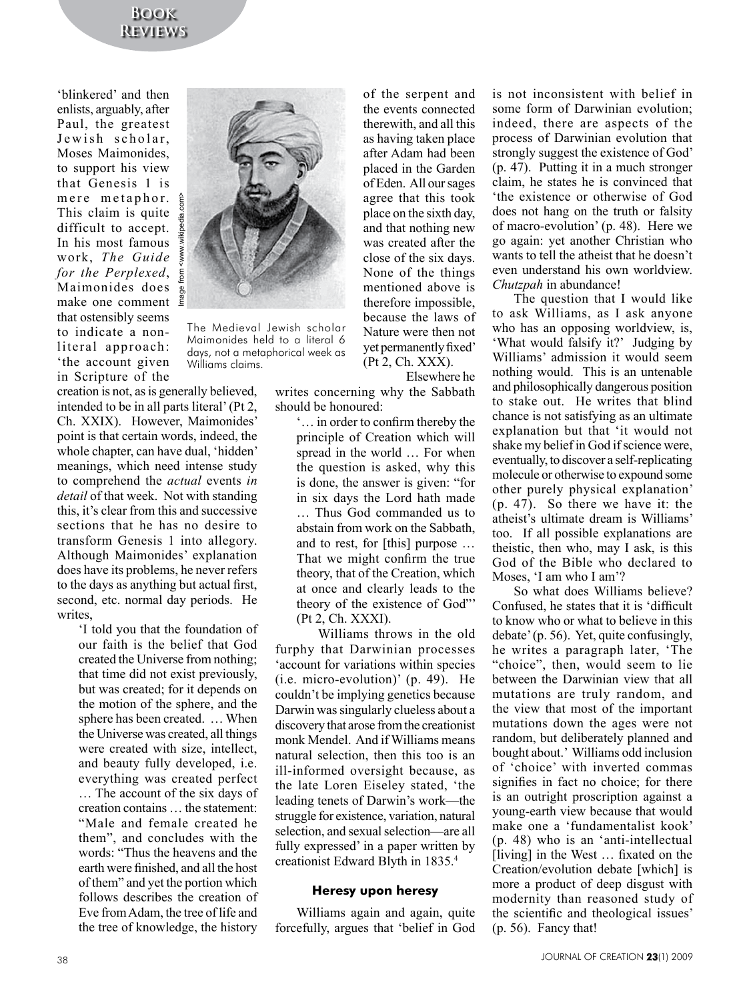# **Book Reviews**

'blinkered' and then enlists, arguably, after Paul, the greatest Jewish scholar, Moses Maimonides, to support his view that Genesis 1 is mere metaphor. This claim is quite difficult to accept. In his most famous work, *The Guide for the Perplexed*, Maimonides does make one comment that ostensibly seems to indicate a nonliteral approach: 'the account given in Scripture of the



The Medieval Jewish scholar Maimonides held to a literal 6 days, not a metaphorical week as Williams claims.

creation is not, as is generally believed, intended to be in all parts literal' (Pt 2, Ch. XXIX). However, Maimonides' point is that certain words, indeed, the whole chapter, can have dual, 'hidden' meanings, which need intense study to comprehend the *actual* events *in detail* of that week. Not with standing this, it's clear from this and successive sections that he has no desire to transform Genesis 1 into allegory. Although Maimonides' explanation does have its problems, he never refers to the days as anything but actual first, second, etc. normal day periods. He writes,

'I told you that the foundation of our faith is the belief that God created the Universe from nothing; that time did not exist previously, but was created; for it depends on the motion of the sphere, and the sphere has been created. … When the Universe was created, all things were created with size, intellect, and beauty fully developed, i.e. everything was created perfect … The account of the six days of creation contains … the statement: "Male and female created he them", and concludes with the words: "Thus the heavens and the earth were finished, and all the host of them" and yet the portion which follows describes the creation of Eve from Adam, the tree of life and the tree of knowledge, the history

of the serpent and the events connected therewith, and all this as having taken place after Adam had been placed in the Garden of Eden. All our sages agree that this took place on the sixth day, and that nothing new was created after the close of the six days. None of the things mentioned above is therefore impossible, because the laws of Nature were then not yet permanently fixed' (Pt 2, Ch. XXX).

Elsewhere he

writes concerning why the Sabbath should be honoured:

'… in order to confirm thereby the principle of Creation which will spread in the world … For when the question is asked, why this is done, the answer is given: "for in six days the Lord hath made … Thus God commanded us to abstain from work on the Sabbath, and to rest, for [this] purpose … That we might confirm the true theory, that of the Creation, which at once and clearly leads to the theory of the existence of God"' (Pt 2, Ch. XXXI).

Williams throws in the old furphy that Darwinian processes 'account for variations within species (i.e. micro-evolution)' (p. 49). He couldn't be implying genetics because Darwin was singularly clueless about a discovery that arose from the creationist monk Mendel. And if Williams means natural selection, then this too is an ill-informed oversight because, as the late Loren Eiseley stated, 'the leading tenets of Darwin's work—the struggle for existence, variation, natural selection, and sexual selection—are all fully expressed' in a paper written by creationist Edward Blyth in 1835.4

# **Heresy upon heresy**

Williams again and again, quite forcefully, argues that 'belief in God is not inconsistent with belief in some form of Darwinian evolution; indeed, there are aspects of the process of Darwinian evolution that strongly suggest the existence of God' (p. 47). Putting it in a much stronger claim, he states he is convinced that 'the existence or otherwise of God does not hang on the truth or falsity of macro-evolution' (p. 48). Here we go again: yet another Christian who wants to tell the atheist that he doesn't even understand his own worldview. *Chutzpah* in abundance!

The question that I would like to ask Williams, as I ask anyone who has an opposing worldview, is, 'What would falsify it?' Judging by Williams' admission it would seem nothing would. This is an untenable and philosophically dangerous position to stake out. He writes that blind chance is not satisfying as an ultimate explanation but that 'it would not shake my belief in God if science were, eventually, to discover a self-replicating molecule or otherwise to expound some other purely physical explanation' (p. 47). So there we have it: the atheist's ultimate dream is Williams' too. If all possible explanations are theistic, then who, may I ask, is this God of the Bible who declared to Moses, 'I am who I am'?

So what does Williams believe? Confused, he states that it is 'difficult to know who or what to believe in this debate' (p. 56). Yet, quite confusingly, he writes a paragraph later, 'The "choice", then, would seem to lie between the Darwinian view that all mutations are truly random, and the view that most of the important mutations down the ages were not random, but deliberately planned and bought about.' Williams odd inclusion of 'choice' with inverted commas signifies in fact no choice; for there is an outright proscription against a young-earth view because that would make one a 'fundamentalist kook' (p. 48) who is an 'anti-intellectual [living] in the West … fixated on the Creation/evolution debate [which] is more a product of deep disgust with modernity than reasoned study of the scientific and theological issues' (p. 56). Fancy that!